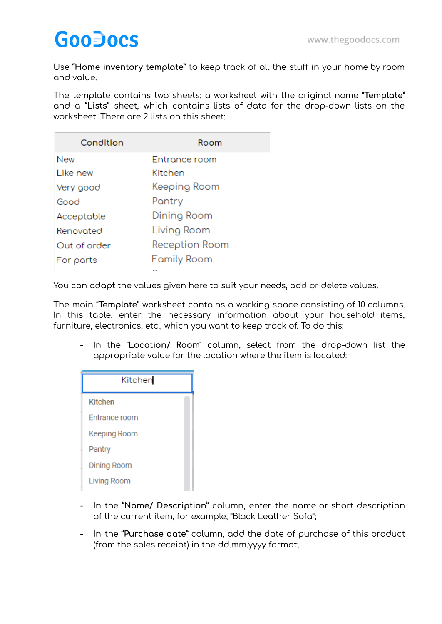Use **"Home inventory template"** to keep track of all the stuff in your home by room and value.

The template contains two sheets: a worksheet with the original name **"Template"** and a **"Lists"** sheet, which contains lists of data for the drop-down lists on the worksheet. There are 2 lists on this sheet:

| Condition    | Room           |
|--------------|----------------|
| New          | Entrance room  |
| Like new     | Kitchen        |
| Very good    | Keeping Room   |
| Good         | Pantry         |
| Acceptable   | Dining Room    |
| Renovated    | Living Room    |
| Out of order | Reception Room |
| For parts    | Family Room    |
|              |                |

You can adapt the values given here to suit your needs, add or delete values.

The main "**Template**" worksheet contains a working space consisting of 10 columns. In this table, enter the necessary information about your household items, furniture, electronics, etc., which you want to keep track of. To do this:

- In the **"Location/ Room"** column, select from the drop-down list the appropriate value for the location where the item is located:

| Kitchen              |  |
|----------------------|--|
| <b>Kitchen</b>       |  |
| <b>Fntrance room</b> |  |
| Keeping Room         |  |
| Pantry               |  |
| <b>Dining Room</b>   |  |
| Living Room          |  |

- In the **"Name/ Description"** column, enter the name or short description of the current item, for example, "Black Leather Sofa";
- In the **"Purchase date"** column, add the date of purchase of this product (from the sales receipt) in the dd.mm.yyyy format;